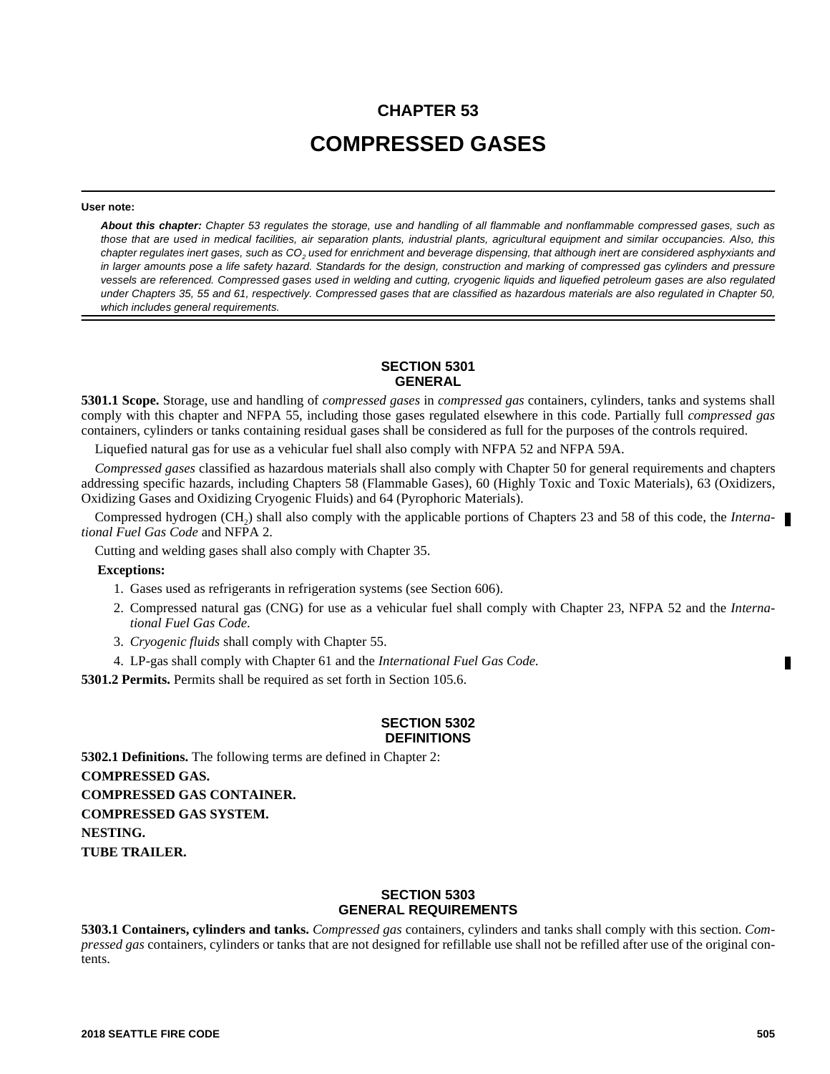# **CHAPTER 53 COMPRESSED GASES**

#### **User note:**

*About this chapter: Chapter 53 regulates the storage, use and handling of all flammable and nonflammable compressed gases, such as those that are used in medical facilities, air separation plants, industrial plants, agricultural equipment and similar occupancies. Also, this* chapter regulates inert gases, such as CO<sub>2</sub> used for enrichment and beverage dispensing, that although inert are considered asphyxiants and *in larger amounts pose a life safety hazard. Standards for the design, construction and marking of compressed gas cylinders and pressure vessels are referenced. Compressed gases used in welding and cutting, cryogenic liquids and liquefied petroleum gases are also regulated under Chapters 35, 55 and 61, respectively. Compressed gases that are classified as hazardous materials are also regulated in Chapter 50, which includes general requirements.*

#### **SECTION 5301 GENERAL**

**5301.1 Scope.** Storage, use and handling of *compressed gases* in *compressed gas* containers, cylinders, tanks and systems shall comply with this chapter and NFPA 55, including those gases regulated elsewhere in this code. Partially full *compressed gas* containers, cylinders or tanks containing residual gases shall be considered as full for the purposes of the controls required.

Liquefied natural gas for use as a vehicular fuel shall also comply with NFPA 52 and NFPA 59A.

*Compressed gases* classified as hazardous materials shall also comply with Chapter 50 for general requirements and chapters addressing specific hazards, including Chapters 58 (Flammable Gases), 60 (Highly Toxic and Toxic Materials), 63 (Oxidizers, Oxidizing Gases and Oxidizing Cryogenic Fluids) and 64 (Pyrophoric Materials).

Compressed hydrogen (CH<sub>2</sub>) shall also comply with the applicable portions of Chapters 23 and 58 of this code, the *International Fuel Gas Code* and NFPA 2.

Cutting and welding gases shall also comply with Chapter 35.

#### **Exceptions:**

- 1. Gases used as refrigerants in refrigeration systems (see Section 606).
- 2. Compressed natural gas (CNG) for use as a vehicular fuel shall comply with Chapter 23, NFPA 52 and the *International Fuel Gas Code*.
- 3. *Cryogenic fluids* shall comply with Chapter 55.
- 4. LP-gas shall comply with Chapter 61 and the *International Fuel Gas Code*.

**5301.2 Permits.** Permits shall be required as set forth in Section 105.6.

#### **SECTION 5302 DEFINITIONS**

**5302.1 Definitions.** The following terms are defined in Chapter 2: **COMPRESSED GAS. COMPRESSED GAS CONTAINER. COMPRESSED GAS SYSTEM. NESTING. TUBE TRAILER.**

## **SECTION 5303 GENERAL REQUIREMENTS**

**5303.1 Containers, cylinders and tanks.** *Compressed gas* containers, cylinders and tanks shall comply with this section. *Compressed gas* containers, cylinders or tanks that are not designed for refillable use shall not be refilled after use of the original contents.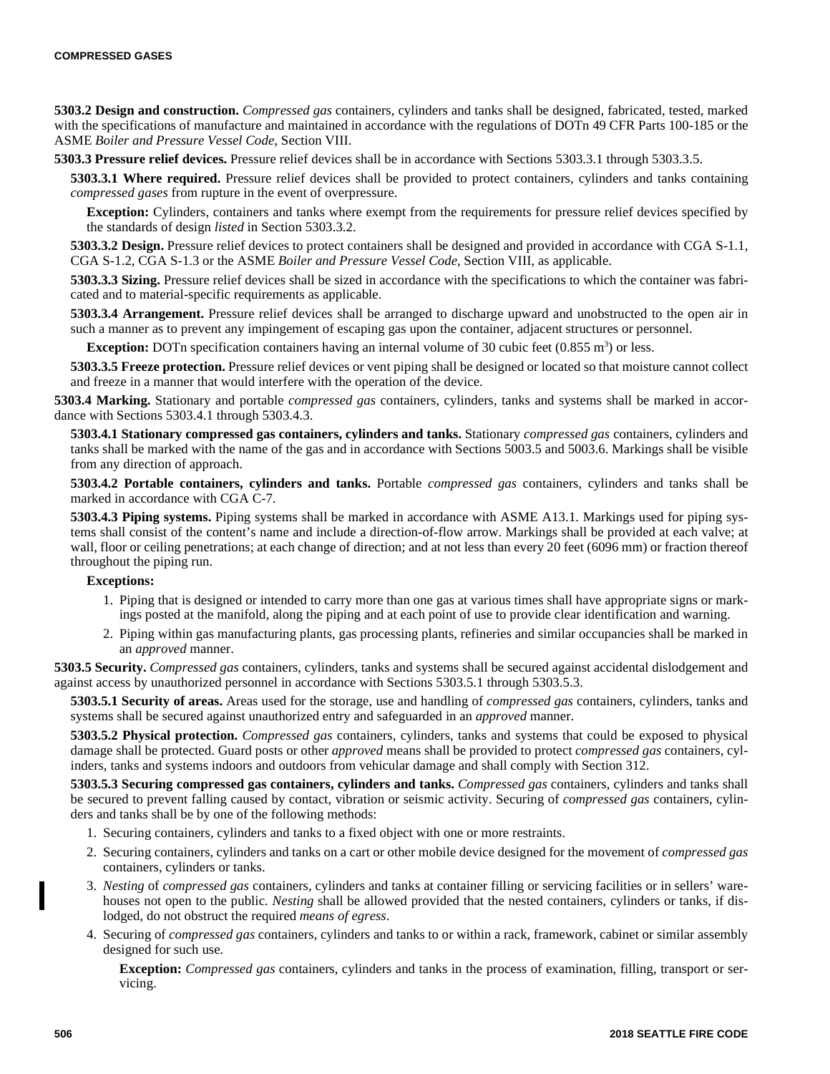**5303.2 Design and construction.** *Compressed gas* containers, cylinders and tanks shall be designed, fabricated, tested, marked with the specifications of manufacture and maintained in accordance with the regulations of DOTn 49 CFR Parts 100-185 or the ASME *Boiler and Pressure Vessel Code*, Section VIII.

**5303.3 Pressure relief devices.** Pressure relief devices shall be in accordance with Sections 5303.3.1 through 5303.3.5.

**5303.3.1 Where required.** Pressure relief devices shall be provided to protect containers, cylinders and tanks containing *compressed gases* from rupture in the event of overpressure.

**Exception:** Cylinders, containers and tanks where exempt from the requirements for pressure relief devices specified by the standards of design *listed* in Section 5303.3.2.

**5303.3.2 Design.** Pressure relief devices to protect containers shall be designed and provided in accordance with CGA S-1.1, CGA S-1.2, CGA S-1.3 or the ASME *Boiler and Pressure Vessel Code*, Section VIII, as applicable.

**5303.3.3 Sizing.** Pressure relief devices shall be sized in accordance with the specifications to which the container was fabricated and to material-specific requirements as applicable.

**5303.3.4 Arrangement.** Pressure relief devices shall be arranged to discharge upward and unobstructed to the open air in such a manner as to prevent any impingement of escaping gas upon the container, adjacent structures or personnel.

**Exception:** DOTn specification containers having an internal volume of 30 cubic feet  $(0.855 \text{ m}^3)$  or less.

**5303.3.5 Freeze protection.** Pressure relief devices or vent piping shall be designed or located so that moisture cannot collect and freeze in a manner that would interfere with the operation of the device.

**5303.4 Marking.** Stationary and portable *compressed gas* containers, cylinders, tanks and systems shall be marked in accordance with Sections 5303.4.1 through 5303.4.3.

**5303.4.1 Stationary compressed gas containers, cylinders and tanks.** Stationary *compressed gas* containers, cylinders and tanks shall be marked with the name of the gas and in accordance with Sections 5003.5 and 5003.6. Markings shall be visible from any direction of approach.

**5303.4.2 Portable containers, cylinders and tanks.** Portable *compressed gas* containers, cylinders and tanks shall be marked in accordance with CGA C-7.

**5303.4.3 Piping systems.** Piping systems shall be marked in accordance with ASME A13.1. Markings used for piping systems shall consist of the content's name and include a direction-of-flow arrow. Markings shall be provided at each valve; at wall, floor or ceiling penetrations; at each change of direction; and at not less than every 20 feet (6096 mm) or fraction thereof throughout the piping run.

## **Exceptions:**

- 1. Piping that is designed or intended to carry more than one gas at various times shall have appropriate signs or markings posted at the manifold, along the piping and at each point of use to provide clear identification and warning.
- 2. Piping within gas manufacturing plants, gas processing plants, refineries and similar occupancies shall be marked in an *approved* manner.

**5303.5 Security.** *Compressed gas* containers, cylinders, tanks and systems shall be secured against accidental dislodgement and against access by unauthorized personnel in accordance with Sections 5303.5.1 through 5303.5.3.

**5303.5.1 Security of areas.** Areas used for the storage, use and handling of *compressed gas* containers, cylinders, tanks and systems shall be secured against unauthorized entry and safeguarded in an *approved* manner.

**5303.5.2 Physical protection.** *Compressed gas* containers, cylinders, tanks and systems that could be exposed to physical damage shall be protected. Guard posts or other *approved* means shall be provided to protect *compressed gas* containers, cylinders, tanks and systems indoors and outdoors from vehicular damage and shall comply with Section 312.

**5303.5.3 Securing compressed gas containers, cylinders and tanks.** *Compressed gas* containers, cylinders and tanks shall be secured to prevent falling caused by contact, vibration or seismic activity. Securing of *compressed gas* containers, cylinders and tanks shall be by one of the following methods:

- 1. Securing containers, cylinders and tanks to a fixed object with one or more restraints.
- 2. Securing containers, cylinders and tanks on a cart or other mobile device designed for the movement of *compressed gas* containers, cylinders or tanks.
- 3. *Nesting* of *compressed gas* containers, cylinders and tanks at container filling or servicing facilities or in sellers' warehouses not open to the public. *Nesting* shall be allowed provided that the nested containers, cylinders or tanks, if dislodged, do not obstruct the required *means of egress*.
- 4. Securing of *compressed gas* containers, cylinders and tanks to or within a rack, framework, cabinet or similar assembly designed for such use.

**Exception:** *Compressed gas* containers, cylinders and tanks in the process of examination, filling, transport or servicing.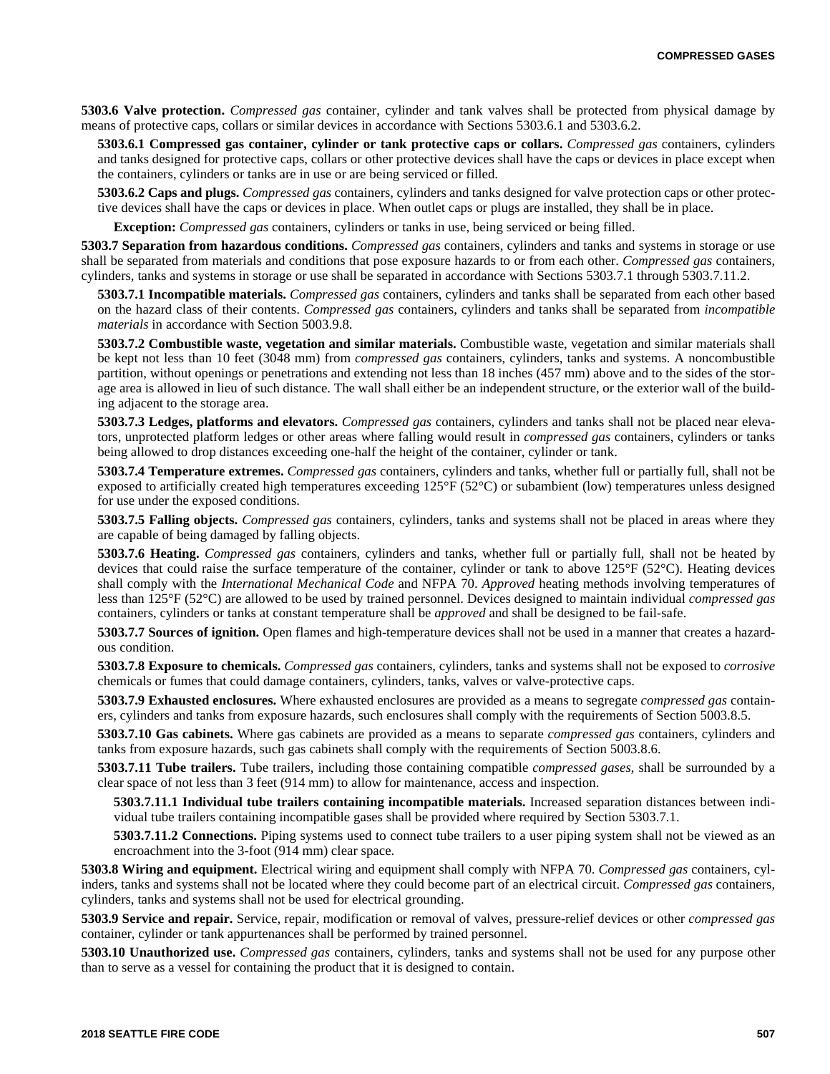**5303.6 Valve protection.** *Compressed gas* container, cylinder and tank valves shall be protected from physical damage by means of protective caps, collars or similar devices in accordance with Sections 5303.6.1 and 5303.6.2.

**5303.6.1 Compressed gas container, cylinder or tank protective caps or collars.** *Compressed gas* containers, cylinders and tanks designed for protective caps, collars or other protective devices shall have the caps or devices in place except when the containers, cylinders or tanks are in use or are being serviced or filled.

**5303.6.2 Caps and plugs.** *Compressed gas* containers, cylinders and tanks designed for valve protection caps or other protective devices shall have the caps or devices in place. When outlet caps or plugs are installed, they shall be in place.

**Exception:** *Compressed gas* containers, cylinders or tanks in use, being serviced or being filled.

**5303.7 Separation from hazardous conditions.** *Compressed gas* containers, cylinders and tanks and systems in storage or use shall be separated from materials and conditions that pose exposure hazards to or from each other. *Compressed gas* containers, cylinders, tanks and systems in storage or use shall be separated in accordance with Sections 5303.7.1 through 5303.7.11.2.

**5303.7.1 Incompatible materials.** *Compressed gas* containers, cylinders and tanks shall be separated from each other based on the hazard class of their contents. *Compressed gas* containers, cylinders and tanks shall be separated from *incompatible materials* in accordance with Section 5003.9.8.

**5303.7.2 Combustible waste, vegetation and similar materials.** Combustible waste, vegetation and similar materials shall be kept not less than 10 feet (3048 mm) from *compressed gas* containers, cylinders, tanks and systems. A noncombustible partition, without openings or penetrations and extending not less than 18 inches (457 mm) above and to the sides of the storage area is allowed in lieu of such distance. The wall shall either be an independent structure, or the exterior wall of the building adjacent to the storage area.

**5303.7.3 Ledges, platforms and elevators.** *Compressed gas* containers, cylinders and tanks shall not be placed near elevators, unprotected platform ledges or other areas where falling would result in *compressed gas* containers, cylinders or tanks being allowed to drop distances exceeding one-half the height of the container, cylinder or tank.

**5303.7.4 Temperature extremes.** *Compressed gas* containers, cylinders and tanks, whether full or partially full, shall not be exposed to artificially created high temperatures exceeding 125°F (52°C) or subambient (low) temperatures unless designed for use under the exposed conditions.

**5303.7.5 Falling objects.** *Compressed gas* containers, cylinders, tanks and systems shall not be placed in areas where they are capable of being damaged by falling objects.

**5303.7.6 Heating.** *Compressed gas* containers, cylinders and tanks, whether full or partially full, shall not be heated by devices that could raise the surface temperature of the container, cylinder or tank to above 125°F (52°C). Heating devices shall comply with the *International Mechanical Code* and NFPA 70. *Approved* heating methods involving temperatures of less than 125°F (52°C) are allowed to be used by trained personnel. Devices designed to maintain individual *compressed gas* containers, cylinders or tanks at constant temperature shall be *approved* and shall be designed to be fail-safe.

**5303.7.7 Sources of ignition.** Open flames and high-temperature devices shall not be used in a manner that creates a hazardous condition.

**5303.7.8 Exposure to chemicals.** *Compressed gas* containers, cylinders, tanks and systems shall not be exposed to *corrosive* chemicals or fumes that could damage containers, cylinders, tanks, valves or valve-protective caps.

**5303.7.9 Exhausted enclosures.** Where exhausted enclosures are provided as a means to segregate *compressed gas* containers, cylinders and tanks from exposure hazards, such enclosures shall comply with the requirements of Section 5003.8.5.

**5303.7.10 Gas cabinets.** Where gas cabinets are provided as a means to separate *compressed gas* containers, cylinders and tanks from exposure hazards, such gas cabinets shall comply with the requirements of Section 5003.8.6.

**5303.7.11 Tube trailers.** Tube trailers, including those containing compatible *compressed gases,* shall be surrounded by a clear space of not less than 3 feet (914 mm) to allow for maintenance, access and inspection.

**5303.7.11.1 Individual tube trailers containing incompatible materials.** Increased separation distances between individual tube trailers containing incompatible gases shall be provided where required by Section 5303.7.1.

**5303.7.11.2 Connections.** Piping systems used to connect tube trailers to a user piping system shall not be viewed as an encroachment into the 3-foot (914 mm) clear space.

**5303.8 Wiring and equipment.** Electrical wiring and equipment shall comply with NFPA 70. *Compressed gas* containers, cylinders, tanks and systems shall not be located where they could become part of an electrical circuit. *Compressed gas* containers, cylinders, tanks and systems shall not be used for electrical grounding.

**5303.9 Service and repair.** Service, repair, modification or removal of valves, pressure-relief devices or other *compressed gas* container, cylinder or tank appurtenances shall be performed by trained personnel.

**5303.10 Unauthorized use.** *Compressed gas* containers, cylinders, tanks and systems shall not be used for any purpose other than to serve as a vessel for containing the product that it is designed to contain.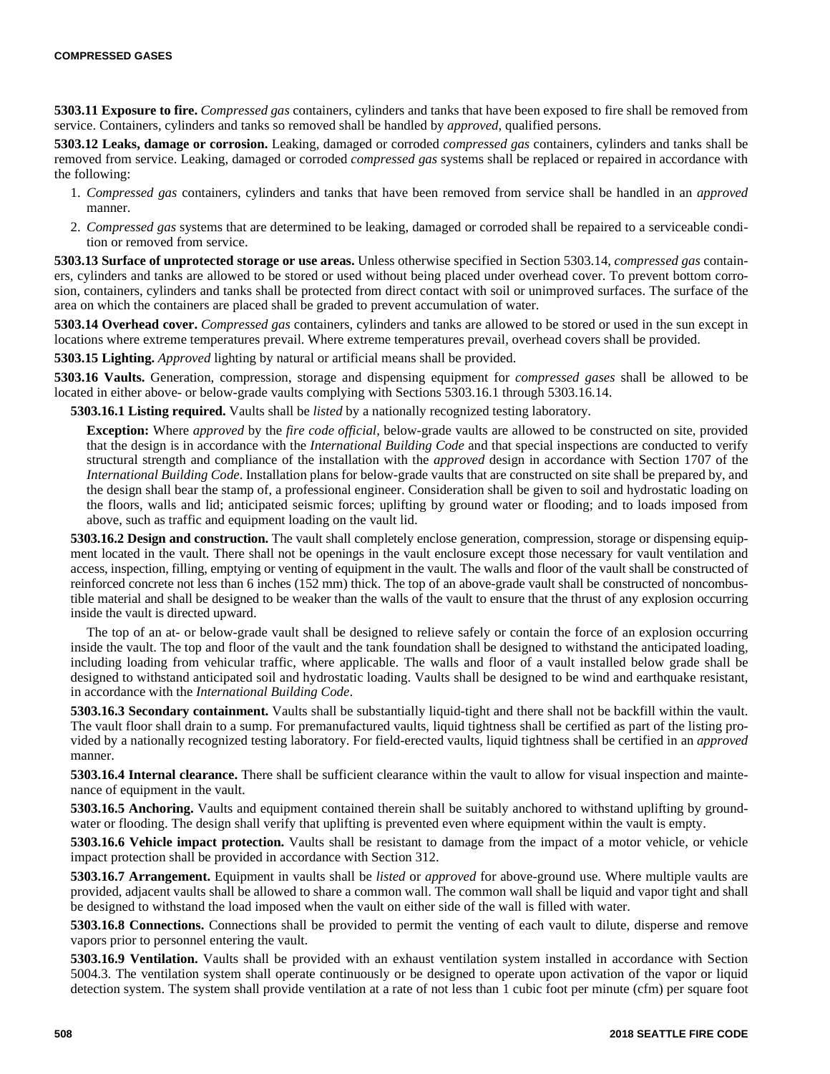**5303.11 Exposure to fire.** *Compressed gas* containers, cylinders and tanks that have been exposed to fire shall be removed from service. Containers, cylinders and tanks so removed shall be handled by *approved*, qualified persons.

**5303.12 Leaks, damage or corrosion.** Leaking, damaged or corroded *compressed gas* containers, cylinders and tanks shall be removed from service. Leaking, damaged or corroded *compressed gas* systems shall be replaced or repaired in accordance with the following:

- 1. *Compressed gas* containers, cylinders and tanks that have been removed from service shall be handled in an *approved* manner.
- 2. *Compressed gas* systems that are determined to be leaking, damaged or corroded shall be repaired to a serviceable condition or removed from service.

**5303.13 Surface of unprotected storage or use areas.** Unless otherwise specified in Section 5303.14, *compressed gas* containers, cylinders and tanks are allowed to be stored or used without being placed under overhead cover. To prevent bottom corrosion, containers, cylinders and tanks shall be protected from direct contact with soil or unimproved surfaces. The surface of the area on which the containers are placed shall be graded to prevent accumulation of water.

**5303.14 Overhead cover.** *Compressed gas* containers, cylinders and tanks are allowed to be stored or used in the sun except in locations where extreme temperatures prevail. Where extreme temperatures prevail, overhead covers shall be provided.

**5303.15 Lighting.** *Approved* lighting by natural or artificial means shall be provided.

**5303.16 Vaults.** Generation, compression, storage and dispensing equipment for *compressed gases* shall be allowed to be located in either above- or below-grade vaults complying with Sections 5303.16.1 through 5303.16.14.

**5303.16.1 Listing required.** Vaults shall be *listed* by a nationally recognized testing laboratory.

**Exception:** Where *approved* by the *fire code official*, below-grade vaults are allowed to be constructed on site, provided that the design is in accordance with the *International Building Code* and that special inspections are conducted to verify structural strength and compliance of the installation with the *approved* design in accordance with Section 1707 of the *International Building Code*. Installation plans for below-grade vaults that are constructed on site shall be prepared by, and the design shall bear the stamp of, a professional engineer. Consideration shall be given to soil and hydrostatic loading on the floors, walls and lid; anticipated seismic forces; uplifting by ground water or flooding; and to loads imposed from above, such as traffic and equipment loading on the vault lid.

**5303.16.2 Design and construction.** The vault shall completely enclose generation, compression, storage or dispensing equipment located in the vault. There shall not be openings in the vault enclosure except those necessary for vault ventilation and access, inspection, filling, emptying or venting of equipment in the vault. The walls and floor of the vault shall be constructed of reinforced concrete not less than 6 inches (152 mm) thick. The top of an above-grade vault shall be constructed of noncombustible material and shall be designed to be weaker than the walls of the vault to ensure that the thrust of any explosion occurring inside the vault is directed upward.

The top of an at- or below-grade vault shall be designed to relieve safely or contain the force of an explosion occurring inside the vault. The top and floor of the vault and the tank foundation shall be designed to withstand the anticipated loading, including loading from vehicular traffic, where applicable. The walls and floor of a vault installed below grade shall be designed to withstand anticipated soil and hydrostatic loading. Vaults shall be designed to be wind and earthquake resistant, in accordance with the *International Building Code*.

**5303.16.3 Secondary containment.** Vaults shall be substantially liquid-tight and there shall not be backfill within the vault. The vault floor shall drain to a sump. For premanufactured vaults, liquid tightness shall be certified as part of the listing provided by a nationally recognized testing laboratory. For field-erected vaults, liquid tightness shall be certified in an *approved* manner.

**5303.16.4 Internal clearance.** There shall be sufficient clearance within the vault to allow for visual inspection and maintenance of equipment in the vault.

**5303.16.5 Anchoring.** Vaults and equipment contained therein shall be suitably anchored to withstand uplifting by groundwater or flooding. The design shall verify that uplifting is prevented even where equipment within the vault is empty.

**5303.16.6 Vehicle impact protection.** Vaults shall be resistant to damage from the impact of a motor vehicle, or vehicle impact protection shall be provided in accordance with Section 312.

**5303.16.7 Arrangement.** Equipment in vaults shall be *listed* or *approved* for above-ground use. Where multiple vaults are provided, adjacent vaults shall be allowed to share a common wall. The common wall shall be liquid and vapor tight and shall be designed to withstand the load imposed when the vault on either side of the wall is filled with water.

**5303.16.8 Connections.** Connections shall be provided to permit the venting of each vault to dilute, disperse and remove vapors prior to personnel entering the vault.

**5303.16.9 Ventilation.** Vaults shall be provided with an exhaust ventilation system installed in accordance with Section 5004.3. The ventilation system shall operate continuously or be designed to operate upon activation of the vapor or liquid detection system. The system shall provide ventilation at a rate of not less than 1 cubic foot per minute (cfm) per square foot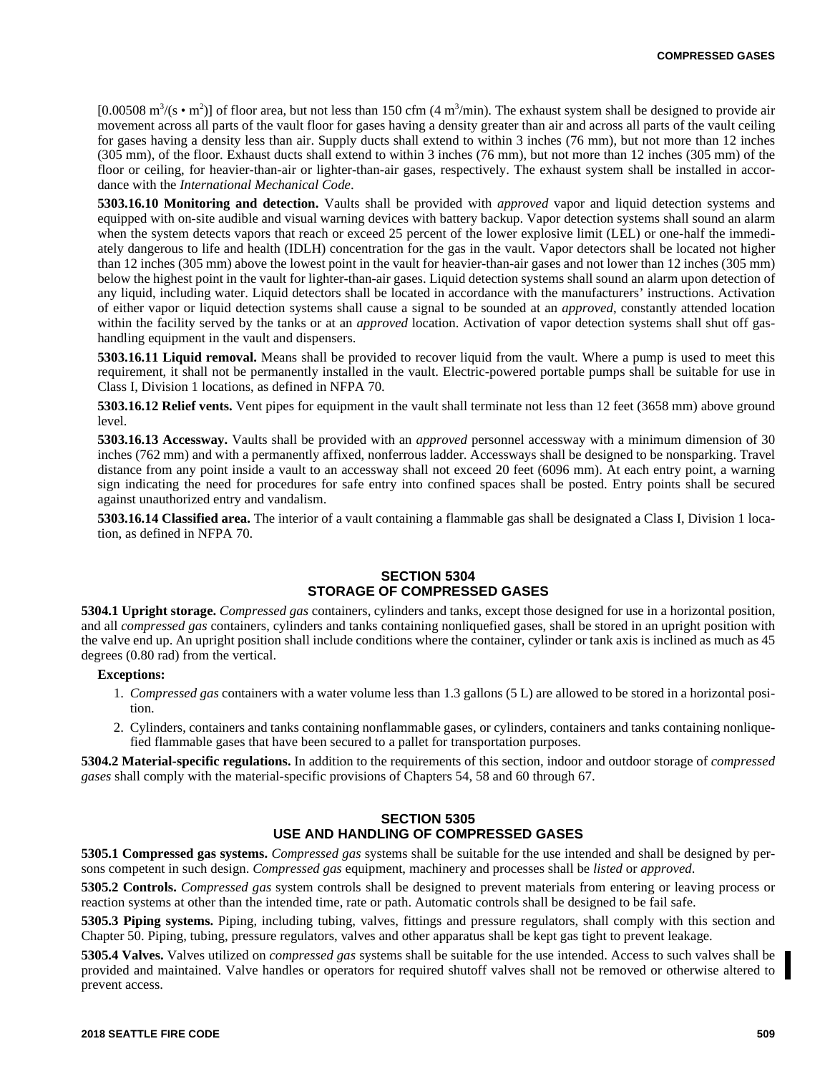[0.00508 m<sup>3</sup>/(s • m<sup>2</sup>)] of floor area, but not less than 150 cfm (4 m<sup>3</sup>/min). The exhaust system shall be designed to provide air movement across all parts of the vault floor for gases having a density greater than air and across all parts of the vault ceiling for gases having a density less than air. Supply ducts shall extend to within 3 inches (76 mm), but not more than 12 inches (305 mm), of the floor. Exhaust ducts shall extend to within 3 inches (76 mm), but not more than 12 inches (305 mm) of the floor or ceiling, for heavier-than-air or lighter-than-air gases, respectively. The exhaust system shall be installed in accordance with the *International Mechanical Code*.

**5303.16.10 Monitoring and detection.** Vaults shall be provided with *approved* vapor and liquid detection systems and equipped with on-site audible and visual warning devices with battery backup. Vapor detection systems shall sound an alarm when the system detects vapors that reach or exceed 25 percent of the lower explosive limit (LEL) or one-half the immediately dangerous to life and health (IDLH) concentration for the gas in the vault. Vapor detectors shall be located not higher than 12 inches (305 mm) above the lowest point in the vault for heavier-than-air gases and not lower than 12 inches (305 mm) below the highest point in the vault for lighter-than-air gases. Liquid detection systems shall sound an alarm upon detection of any liquid, including water. Liquid detectors shall be located in accordance with the manufacturers' instructions. Activation of either vapor or liquid detection systems shall cause a signal to be sounded at an *approved*, constantly attended location within the facility served by the tanks or at an *approved* location. Activation of vapor detection systems shall shut off gashandling equipment in the vault and dispensers.

**5303.16.11 Liquid removal.** Means shall be provided to recover liquid from the vault. Where a pump is used to meet this requirement, it shall not be permanently installed in the vault. Electric-powered portable pumps shall be suitable for use in Class I, Division 1 locations, as defined in NFPA 70.

**5303.16.12 Relief vents.** Vent pipes for equipment in the vault shall terminate not less than 12 feet (3658 mm) above ground level.

**5303.16.13 Accessway.** Vaults shall be provided with an *approved* personnel accessway with a minimum dimension of 30 inches (762 mm) and with a permanently affixed, nonferrous ladder. Accessways shall be designed to be nonsparking. Travel distance from any point inside a vault to an accessway shall not exceed 20 feet (6096 mm). At each entry point, a warning sign indicating the need for procedures for safe entry into confined spaces shall be posted. Entry points shall be secured against unauthorized entry and vandalism.

**5303.16.14 Classified area.** The interior of a vault containing a flammable gas shall be designated a Class I, Division 1 location, as defined in NFPA 70.

#### **SECTION 5304 STORAGE OF COMPRESSED GASES**

**5304.1 Upright storage.** *Compressed gas* containers, cylinders and tanks, except those designed for use in a horizontal position, and all *compressed gas* containers, cylinders and tanks containing nonliquefied gases, shall be stored in an upright position with the valve end up. An upright position shall include conditions where the container, cylinder or tank axis is inclined as much as 45 degrees (0.80 rad) from the vertical.

#### **Exceptions:**

- 1. *Compressed gas* containers with a water volume less than 1.3 gallons (5 L) are allowed to be stored in a horizontal position.
- 2. Cylinders, containers and tanks containing nonflammable gases, or cylinders, containers and tanks containing nonliquefied flammable gases that have been secured to a pallet for transportation purposes.

**5304.2 Material-specific regulations.** In addition to the requirements of this section, indoor and outdoor storage of *compressed gases* shall comply with the material-specific provisions of Chapters 54, 58 and 60 through 67.

### **SECTION 5305 USE AND HANDLING OF COMPRESSED GASES**

**5305.1 Compressed gas systems.** *Compressed gas* systems shall be suitable for the use intended and shall be designed by persons competent in such design. *Compressed gas* equipment, machinery and processes shall be *listed* or *approved*.

**5305.2 Controls.** *Compressed gas* system controls shall be designed to prevent materials from entering or leaving process or reaction systems at other than the intended time, rate or path. Automatic controls shall be designed to be fail safe.

**5305.3 Piping systems.** Piping, including tubing, valves, fittings and pressure regulators, shall comply with this section and Chapter 50. Piping, tubing, pressure regulators, valves and other apparatus shall be kept gas tight to prevent leakage.

**5305.4 Valves.** Valves utilized on *compressed gas* systems shall be suitable for the use intended. Access to such valves shall be provided and maintained. Valve handles or operators for required shutoff valves shall not be removed or otherwise altered to prevent access.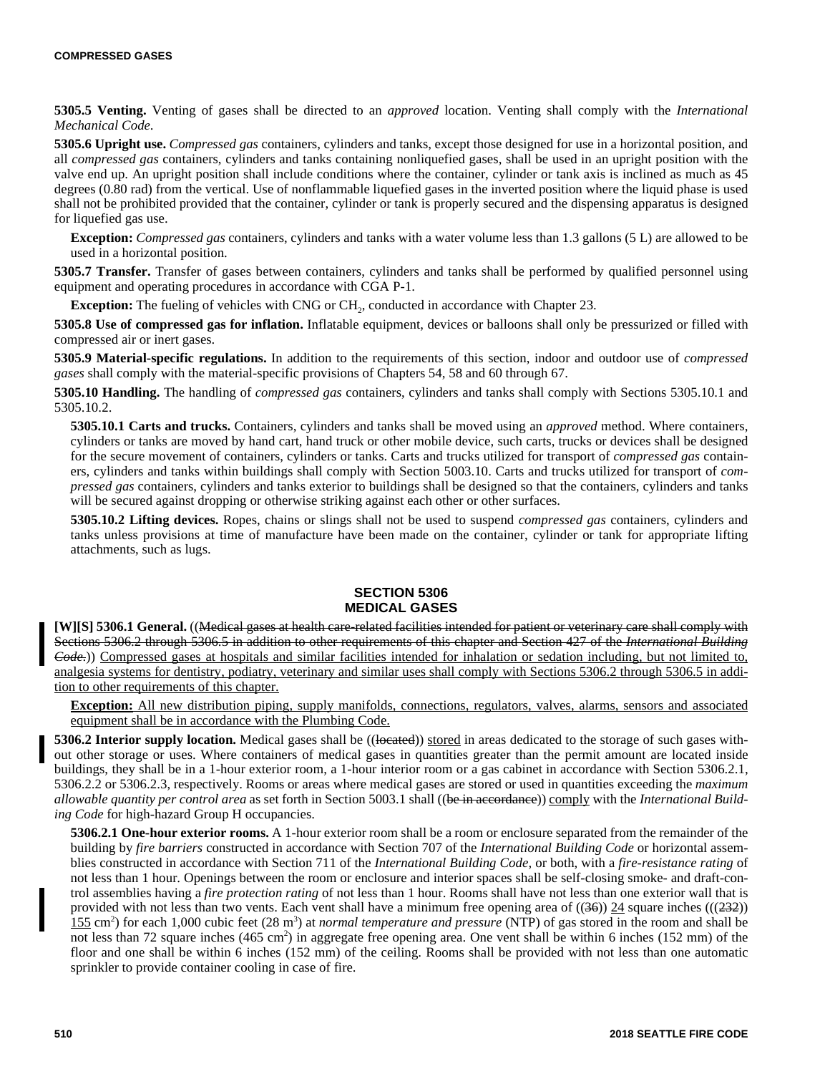**5305.5 Venting.** Venting of gases shall be directed to an *approved* location. Venting shall comply with the *International Mechanical Code*.

**5305.6 Upright use.** *Compressed gas* containers, cylinders and tanks, except those designed for use in a horizontal position, and all *compressed gas* containers, cylinders and tanks containing nonliquefied gases, shall be used in an upright position with the valve end up. An upright position shall include conditions where the container, cylinder or tank axis is inclined as much as 45 degrees (0.80 rad) from the vertical. Use of nonflammable liquefied gases in the inverted position where the liquid phase is used shall not be prohibited provided that the container, cylinder or tank is properly secured and the dispensing apparatus is designed for liquefied gas use.

**Exception:** *Compressed gas* containers, cylinders and tanks with a water volume less than 1.3 gallons (5 L) are allowed to be used in a horizontal position.

**5305.7 Transfer.** Transfer of gases between containers, cylinders and tanks shall be performed by qualified personnel using equipment and operating procedures in accordance with CGA P-1.

**Exception:** The fueling of vehicles with CNG or CH<sub>2</sub>, conducted in accordance with Chapter 23.

**5305.8 Use of compressed gas for inflation.** Inflatable equipment, devices or balloons shall only be pressurized or filled with compressed air or inert gases.

**5305.9 Material-specific regulations.** In addition to the requirements of this section, indoor and outdoor use of *compressed gases* shall comply with the material-specific provisions of Chapters 54, 58 and 60 through 67.

**5305.10 Handling.** The handling of *compressed gas* containers, cylinders and tanks shall comply with Sections 5305.10.1 and 5305.10.2.

**5305.10.1 Carts and trucks.** Containers, cylinders and tanks shall be moved using an *approved* method. Where containers, cylinders or tanks are moved by hand cart, hand truck or other mobile device, such carts, trucks or devices shall be designed for the secure movement of containers, cylinders or tanks. Carts and trucks utilized for transport of *compressed gas* containers, cylinders and tanks within buildings shall comply with Section 5003.10. Carts and trucks utilized for transport of *compressed gas* containers, cylinders and tanks exterior to buildings shall be designed so that the containers, cylinders and tanks will be secured against dropping or otherwise striking against each other or other surfaces.

**5305.10.2 Lifting devices.** Ropes, chains or slings shall not be used to suspend *compressed gas* containers, cylinders and tanks unless provisions at time of manufacture have been made on the container, cylinder or tank for appropriate lifting attachments, such as lugs.

#### **SECTION 5306 MEDICAL GASES**

**[W][S] 5306.1 General.** ((Medical gases at health care-related facilities intended for patient or veterinary care shall comply with Sections 5306.2 through 5306.5 in addition to other requirements of this chapter and Section 427 of the *International Building Code*.)) Compressed gases at hospitals and similar facilities intended for inhalation or sedation including, but not limited to, analgesia systems for dentistry, podiatry, veterinary and similar uses shall comply with Sections 5306.2 through 5306.5 in addition to other requirements of this chapter.

**Exception:** All new distribution piping, supply manifolds, connections, regulators, valves, alarms, sensors and associated equipment shall be in accordance with the Plumbing Code.

**5306.2 Interior supply location.** Medical gases shall be ((located)) stored in areas dedicated to the storage of such gases without other storage or uses. Where containers of medical gases in quantities greater than the permit amount are located inside buildings, they shall be in a 1-hour exterior room, a 1-hour interior room or a gas cabinet in accordance with Section 5306.2.1, 5306.2.2 or 5306.2.3, respectively. Rooms or areas where medical gases are stored or used in quantities exceeding the *maximum allowable quantity per control area* as set forth in Section 5003.1 shall ((be in accordance)) comply with the *International Building Code* for high-hazard Group H occupancies.

**5306.2.1 One-hour exterior rooms.** A 1-hour exterior room shall be a room or enclosure separated from the remainder of the building by *fire barriers* constructed in accordance with Section 707 of the *International Building Code* or horizontal assemblies constructed in accordance with Section 711 of the *International Building Code,* or both, with a *fire-resistance rating* of not less than 1 hour. Openings between the room or enclosure and interior spaces shall be self-closing smoke- and draft-control assemblies having a *fire protection rating* of not less than 1 hour. Rooms shall have not less than one exterior wall that is provided with not less than two vents. Each vent shall have a minimum free opening area of  $((36))$  24 square inches  $(((232))$  $155 \text{ cm}^2$ ) for each 1,000 cubic feet (28 m<sup>3</sup>) at *normal temperature and pressure* (NTP) of gas stored in the room and shall be not less than 72 square inches (465 cm<sup>2</sup>) in aggregate free opening area. One vent shall be within 6 inches (152 mm) of the floor and one shall be within 6 inches (152 mm) of the ceiling. Rooms shall be provided with not less than one automatic sprinkler to provide container cooling in case of fire.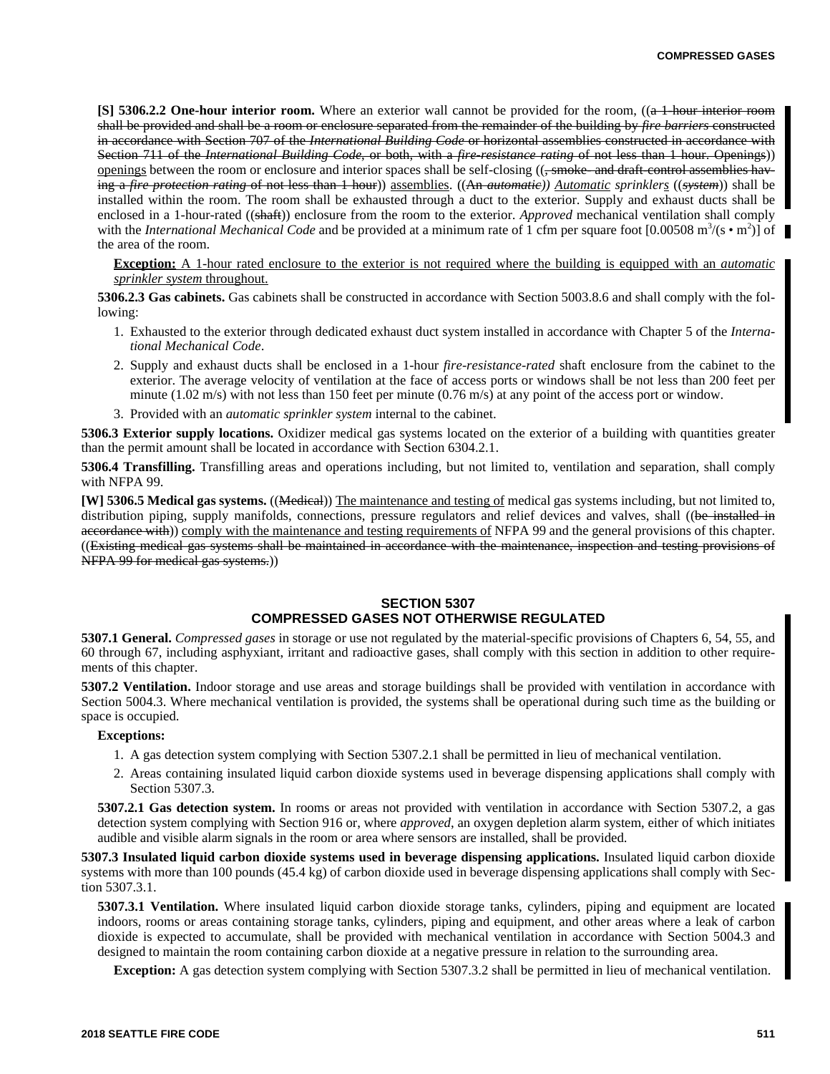**[S] 5306.2.2 One-hour interior room.** Where an exterior wall cannot be provided for the room, ((a 1-hour interior room shall be provided and shall be a room or enclosure separated from the remainder of the building by *fire barriers* constructed in accordance with Section 707 of the *International Building Code* or horizontal assemblies constructed in accordance with Section 711 of the *International Building Code*, or both, with a *fire-resistance rating* of not less than 1 hour. Openings)) <u>openings</u> between the room or enclosure and interior spaces shall be self-closing  $((\frac{1}{2} + \frac{1}{2})$  and draft-control assemblies having a *fire protection rating* of not less than 1 hour)) assemblies. ((An *automatic)) Automatic sprinklers* ((*system*)) shall be installed within the room. The room shall be exhausted through a duct to the exterior. Supply and exhaust ducts shall be enclosed in a 1-hour-rated ((shaft)) enclosure from the room to the exterior. *Approved* mechanical ventilation shall comply with the *International Mechanical Code* and be provided at a minimum rate of 1 cfm per square foot  $[0.00508 \text{ m}^3/\text{(s} \cdot \text{m}^2)]$  of the area of the room.

**Exception:** A 1-hour rated enclosure to the exterior is not required where the building is equipped with an *automatic sprinkler system* throughout.

**5306.2.3 Gas cabinets.** Gas cabinets shall be constructed in accordance with Section 5003.8.6 and shall comply with the following:

- 1. Exhausted to the exterior through dedicated exhaust duct system installed in accordance with Chapter 5 of the *International Mechanical Code*.
- 2. Supply and exhaust ducts shall be enclosed in a 1-hour *fire-resistance-rated* shaft enclosure from the cabinet to the exterior. The average velocity of ventilation at the face of access ports or windows shall be not less than 200 feet per minute (1.02 m/s) with not less than 150 feet per minute (0.76 m/s) at any point of the access port or window.
- 3. Provided with an *automatic sprinkler system* internal to the cabinet.

**5306.3 Exterior supply locations.** Oxidizer medical gas systems located on the exterior of a building with quantities greater than the permit amount shall be located in accordance with Section 6304.2.1.

**5306.4 Transfilling.** Transfilling areas and operations including, but not limited to, ventilation and separation, shall comply with NFPA 99.

**[W] 5306.5 Medical gas systems.** ((Medical)) The maintenance and testing of medical gas systems including, but not limited to, distribution piping, supply manifolds, connections, pressure regulators and relief devices and valves, shall ((be installed in accordance with)) comply with the maintenance and testing requirements of NFPA 99 and the general provisions of this chapter. ((Existing medical gas systems shall be maintained in accordance with the maintenance, inspection and testing provisions of NFPA 99 for medical gas systems.))

## **SECTION 5307 COMPRESSED GASES NOT OTHERWISE REGULATED**

**5307.1 General.** *Compressed gases* in storage or use not regulated by the material-specific provisions of Chapters 6, 54, 55, and 60 through 67, including asphyxiant, irritant and radioactive gases, shall comply with this section in addition to other requirements of this chapter.

**5307.2 Ventilation.** Indoor storage and use areas and storage buildings shall be provided with ventilation in accordance with Section 5004.3. Where mechanical ventilation is provided, the systems shall be operational during such time as the building or space is occupied.

#### **Exceptions:**

- 1. A gas detection system complying with Section 5307.2.1 shall be permitted in lieu of mechanical ventilation.
- 2. Areas containing insulated liquid carbon dioxide systems used in beverage dispensing applications shall comply with Section 5307.3.

**5307.2.1 Gas detection system.** In rooms or areas not provided with ventilation in accordance with Section 5307.2, a gas detection system complying with Section 916 or, where *approved*, an oxygen depletion alarm system, either of which initiates audible and visible alarm signals in the room or area where sensors are installed, shall be provided.

**5307.3 Insulated liquid carbon dioxide systems used in beverage dispensing applications.** Insulated liquid carbon dioxide systems with more than 100 pounds (45.4 kg) of carbon dioxide used in beverage dispensing applications shall comply with Section 5307.3.1.

**5307.3.1 Ventilation.** Where insulated liquid carbon dioxide storage tanks, cylinders, piping and equipment are located indoors, rooms or areas containing storage tanks, cylinders, piping and equipment, and other areas where a leak of carbon dioxide is expected to accumulate, shall be provided with mechanical ventilation in accordance with Section 5004.3 and designed to maintain the room containing carbon dioxide at a negative pressure in relation to the surrounding area.

**Exception:** A gas detection system complying with Section 5307.3.2 shall be permitted in lieu of mechanical ventilation.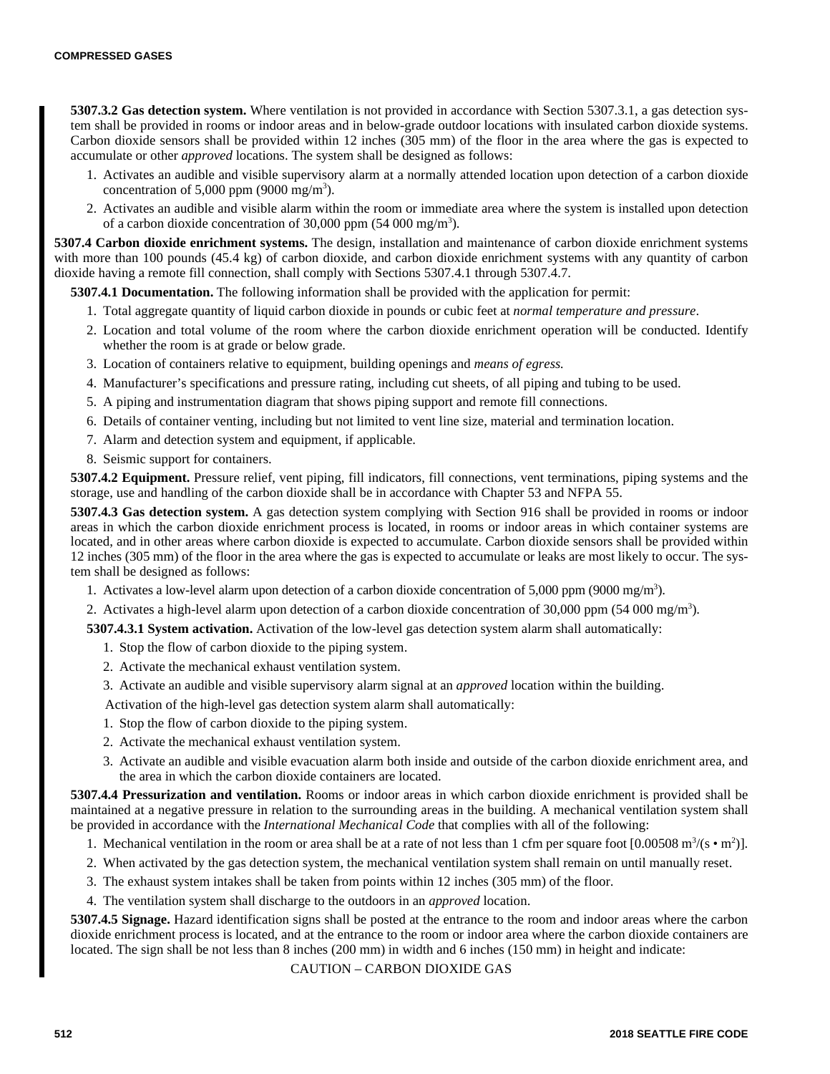**5307.3.2 Gas detection system.** Where ventilation is not provided in accordance with Section 5307.3.1, a gas detection system shall be provided in rooms or indoor areas and in below-grade outdoor locations with insulated carbon dioxide systems. Carbon dioxide sensors shall be provided within 12 inches (305 mm) of the floor in the area where the gas is expected to accumulate or other *approved* locations. The system shall be designed as follows:

- 1. Activates an audible and visible supervisory alarm at a normally attended location upon detection of a carbon dioxide concentration of 5,000 ppm (9000 mg/m<sup>3</sup>).
- 2. Activates an audible and visible alarm within the room or immediate area where the system is installed upon detection of a carbon dioxide concentration of 30,000 ppm  $(54 000 \text{ mg/m}^3)$ .

**5307.4 Carbon dioxide enrichment systems.** The design, installation and maintenance of carbon dioxide enrichment systems with more than 100 pounds (45.4 kg) of carbon dioxide, and carbon dioxide enrichment systems with any quantity of carbon dioxide having a remote fill connection, shall comply with Sections 5307.4.1 through 5307.4.7.

**5307.4.1 Documentation.** The following information shall be provided with the application for permit:

- 1. Total aggregate quantity of liquid carbon dioxide in pounds or cubic feet at *normal temperature and pressure*.
- 2. Location and total volume of the room where the carbon dioxide enrichment operation will be conducted. Identify whether the room is at grade or below grade.
- 3. Location of containers relative to equipment, building openings and *means of egress.*
- 4. Manufacturer's specifications and pressure rating, including cut sheets, of all piping and tubing to be used.
- 5. A piping and instrumentation diagram that shows piping support and remote fill connections.
- 6. Details of container venting, including but not limited to vent line size, material and termination location.
- 7. Alarm and detection system and equipment, if applicable.
- 8. Seismic support for containers.

**5307.4.2 Equipment.** Pressure relief, vent piping, fill indicators, fill connections, vent terminations, piping systems and the storage, use and handling of the carbon dioxide shall be in accordance with Chapter 53 and NFPA 55.

**5307.4.3 Gas detection system.** A gas detection system complying with Section 916 shall be provided in rooms or indoor areas in which the carbon dioxide enrichment process is located, in rooms or indoor areas in which container systems are located, and in other areas where carbon dioxide is expected to accumulate. Carbon dioxide sensors shall be provided within 12 inches (305 mm) of the floor in the area where the gas is expected to accumulate or leaks are most likely to occur. The system shall be designed as follows:

- 1. Activates a low-level alarm upon detection of a carbon dioxide concentration of 5,000 ppm (9000 mg/m<sup>3</sup>).
- 2. Activates a high-level alarm upon detection of a carbon dioxide concentration of 30,000 ppm (54 000 mg/m<sup>3</sup>).

**5307.4.3.1 System activation.** Activation of the low-level gas detection system alarm shall automatically:

- 1. Stop the flow of carbon dioxide to the piping system.
- 2. Activate the mechanical exhaust ventilation system.
- 3. Activate an audible and visible supervisory alarm signal at an *approved* location within the building.

Activation of the high-level gas detection system alarm shall automatically:

- 1. Stop the flow of carbon dioxide to the piping system.
- 2. Activate the mechanical exhaust ventilation system.
- 3. Activate an audible and visible evacuation alarm both inside and outside of the carbon dioxide enrichment area, and the area in which the carbon dioxide containers are located.

**5307.4.4 Pressurization and ventilation.** Rooms or indoor areas in which carbon dioxide enrichment is provided shall be maintained at a negative pressure in relation to the surrounding areas in the building. A mechanical ventilation system shall be provided in accordance with the *International Mechanical Code* that complies with all of the following:

- 1. Mechanical ventilation in the room or area shall be at a rate of not less than 1 cfm per square foot  $[0.00508 \text{ m}^3/(\text{s} \cdot \text{m}^2)]$ .
- 2. When activated by the gas detection system, the mechanical ventilation system shall remain on until manually reset.
- 3. The exhaust system intakes shall be taken from points within 12 inches (305 mm) of the floor.
- 4. The ventilation system shall discharge to the outdoors in an *approved* location.

**5307.4.5 Signage.** Hazard identification signs shall be posted at the entrance to the room and indoor areas where the carbon dioxide enrichment process is located, and at the entrance to the room or indoor area where the carbon dioxide containers are located. The sign shall be not less than 8 inches (200 mm) in width and 6 inches (150 mm) in height and indicate:

CAUTION – CARBON DIOXIDE GAS